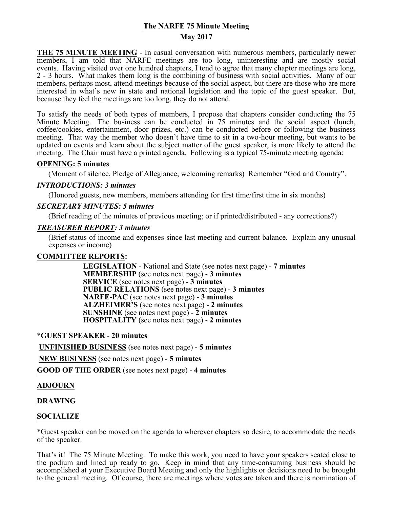# **The NARFE 75 Minute Meeting**

### **May 2017**

**THE 75 MINUTE MEETING** - In casual conversation with numerous members, particularly newer members, I am told that NARFE meetings are too long, uninteresting and are mostly social events. Having visited over one hundred chapters, I tend to agree that many chapter meetings are long, 2 - 3 hours. What makes them long is the combining of business with social activities. Many of our members, perhaps most, attend meetings because of the social aspect, but there are those who are more interested in what's new in state and national legislation and the topic of the guest speaker. But, because they feel the meetings are too long, they do not attend.

To satisfy the needs of both types of members, I propose that chapters consider conducting the 75 Minute Meeting. The business can be conducted in 75 minutes and the social aspect (lunch, coffee/cookies, entertainment, door prizes, etc.) can be conducted before or following the business meeting. That way the member who doesn't have time to sit in a two-hour meeting, but wants to be updated on events and learn about the subject matter of the guest speaker, is more likely to attend the meeting. The Chair must have a printed agenda. Following is a typical 75-minute meeting agenda:

## **OPENING: 5 minutes**

(Moment of silence, Pledge of Allegiance, welcoming remarks) Remember "God and Country".

## *INTRODUCTIONS: 3 minutes*

(Honored guests, new members, members attending for first time/first time in six months)

## *SECRETARY MINUTES: 5 minutes*

(Brief reading of the minutes of previous meeting; or if printed/distributed - any corrections?)

### *TREASURER REPORT: 3 minutes*

(Brief status of income and expenses since last meeting and current balance. Explain any unusual expenses or income)

## **COMMITTEE REPORTS:**

 **LEGISLATION** - National and State (see notes next page) - **7 minutes MEMBERSHIP** (see notes next page) - **3 minutes SERVICE** (see notes next page) - **3 minutes PUBLIC RELATIONS** (see notes next page) - **3 minutes NARFE-PAC** (see notes next page) - **3 minutes ALZHEIMER'S** (see notes next page) - **2 minutes SUNSHINE** (see notes next page) - **2 minutes HOSPITALITY** (see notes next page) - **2 minutes**

## \***GUEST SPEAKER** - **20 minutes**

**UNFINISHED BUSINESS** (see notes next page) - **5 minutes**

**NEW BUSINESS** (see notes next page) - **5 minutes**

**GOOD OF THE ORDER** (see notes next page) - **4 minutes**

### **ADJOURN**

## **DRAWING**

## **SOCIALIZE**

\*Guest speaker can be moved on the agenda to wherever chapters so desire, to accommodate the needs of the speaker.

That's it! The 75 Minute Meeting. To make this work, you need to have your speakers seated close to the podium and lined up ready to go. Keep in mind that any time-consuming business should be accomplished at your Executive Board Meeting and only the highlights or decisions need to be brought to the general meeting. Of course, there are meetings where votes are taken and there is nomination of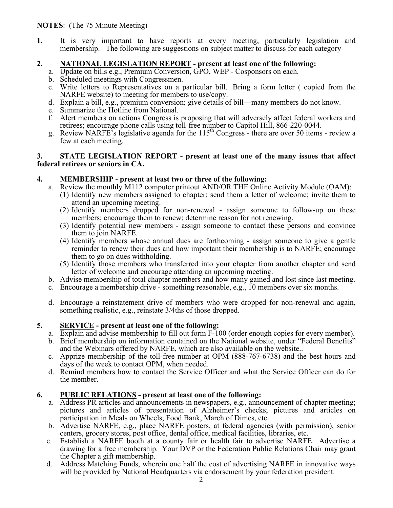**1.** It is very important to have reports at every meeting, particularly legislation and membership. The following are suggestions on subject matter to discuss for each category

## **2. NATIONAL LEGISLATION REPORT - present at least one of the following:**

- a. Update on bills e.g., Premium Conversion, GPO, WEP Cosponsors on each.
- b. Scheduled meetings with Congressmen.
- c. Write letters to Representatives on a particular bill. Bring a form letter ( copied from the NARFE website) to meeting for members to use/copy.
- d. Explain a bill, e.g., premium conversion; give details of bill—many members do not know.
- e. Summarize the Hotline from National.
- f. Alert members on actions Congress is proposing that will adversely affect federal workers and retirees; encourage phone calls using toll-free number to Capitol Hill, 866-220-0044.
- g. Review NARFE's legislative agenda for the  $115<sup>th</sup>$  Congress there are over 50 items review a few at each meeting.

## **3. STATE LEGISLATION REPORT - present at least one of the many issues that affect federal retirees or seniors in CA.**

## **4. MEMBERSHIP - present at least two or three of the following:**

- a. Review the monthly M112 computer printout AND/OR THE Online Activity Module (OAM):
	- (1) Identify new members assigned to chapter; send them a letter of welcome; invite them to attend an upcoming meeting.
	- (2) Identify members dropped for non-renewal assign someone to follow-up on these members; encourage them to renew; determine reason for not renewing.
	- (3) Identify potential new members assign someone to contact these persons and convince them to join NARFE.
	- (4) Identify members whose annual dues are forthcoming assign someone to give a gentle reminder to renew their dues and how important their membership is to NARFE; encourage them to go on dues withholding.
	- (5) Identify those members who transferred into your chapter from another chapter and send letter of welcome and encourage attending an upcoming meeting.
- b. Advise membership of total chapter members and how many gained and lost since last meeting.
- c. Encourage a membership drive something reasonable, e.g., 10 members over six months.
- d. Encourage a reinstatement drive of members who were dropped for non-renewal and again, something realistic, e.g., reinstate 3/4ths of those dropped.

## **5. SERVICE - present at least one of the following:**

- a. Explain and advise membership to fill out form F-100 (order enough copies for every member).
- b. Brief membership on information contained on the National website, under "Federal Benefits"
- c. Apprize membership of the toll-free number at OPM (888-767-6738) and the best hours and days of the week to contact OPM, when needed.
- d. Remind members how to contact the Service Officer and what the Service Officer can do for the member.

## **6. PUBLIC RELATIONS - present at least one of the following:**

- a. Address PR articles and announcements in newspapers, e.g., announcement of chapter meeting; pictures and articles of presentation of Alzheimer's checks; pictures and articles on participation in Meals on Wheels, Food Bank, March of Dimes, etc.
- b. Advertise NARFE, e.g., place NARFE posters, at federal agencies (with permission), senior centers, grocery stores, post office, dental office, medical facilities, libraries, etc.
- c. Establish a NARFE booth at a county fair or health fair to advertise NARFE. Advertise a drawing for a free membership. Your DVP or the Federation Public Relations Chair may grant the Chapter a gift membership.
- d. Address Matching Funds, wherein one half the cost of advertising NARFE in innovative ways will be provided by National Headquarters via endorsement by your federation president.